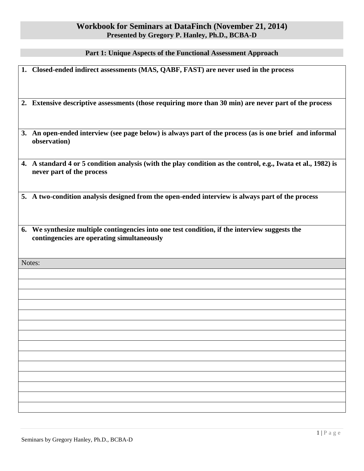## **Workbook for Seminars at DataFinch (November 21, 2014) Presented by Gregory P. Hanley, Ph.D., BCBA-D**

## **Part 1: Unique Aspects of the Functional Assessment Approach**

| 1. Closed-ended indirect assessments (MAS, QABF, FAST) are never used in the process                                                         |  |
|----------------------------------------------------------------------------------------------------------------------------------------------|--|
| 2. Extensive descriptive assessments (those requiring more than 30 min) are never part of the process                                        |  |
| 3. An open-ended interview (see page below) is always part of the process (as is one brief and informal<br>observation)                      |  |
| 4. A standard 4 or 5 condition analysis (with the play condition as the control, e.g., Iwata et al., 1982) is<br>never part of the process   |  |
| 5. A two-condition analysis designed from the open-ended interview is always part of the process                                             |  |
| 6. We synthesize multiple contingencies into one test condition, if the interview suggests the<br>contingencies are operating simultaneously |  |
| Notes:                                                                                                                                       |  |
|                                                                                                                                              |  |
|                                                                                                                                              |  |
|                                                                                                                                              |  |
|                                                                                                                                              |  |
|                                                                                                                                              |  |
|                                                                                                                                              |  |
|                                                                                                                                              |  |
|                                                                                                                                              |  |
|                                                                                                                                              |  |
|                                                                                                                                              |  |
|                                                                                                                                              |  |
|                                                                                                                                              |  |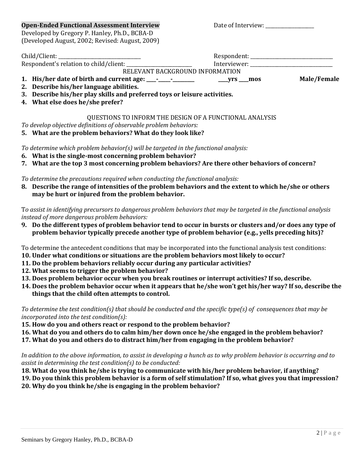| <b>Open-Ended Functional Assessment Interview</b><br>Developed by Gregory P. Hanley, Ph.D., BCBA-D | Date of Interview: |             |
|----------------------------------------------------------------------------------------------------|--------------------|-------------|
| (Developed August, 2002; Revised: August, 2009)                                                    |                    |             |
|                                                                                                    |                    |             |
|                                                                                                    |                    |             |
| RELEVANT BACKGROUND INFORMATION                                                                    |                    |             |
|                                                                                                    | $Vrs$ mos          | Male/Female |
| 2. Describe his/her language abilities.                                                            |                    |             |
| 3. Describe his/her play skills and preferred toys or leisure activities.                          |                    |             |
| 4. What else does he/she prefer?                                                                   |                    |             |
| QUESTIONS TO INFORM THE DESIGN OF A FUNCTIONAL ANALYSIS                                            |                    |             |
| To develop objective definitions of observable problem behaviors:                                  |                    |             |
| 5. What are the problem behaviors? What do they look like?                                         |                    |             |
| To determine which problem behavior(s) will be targeted in the functional analysis:                |                    |             |

- **6. What is the single-most concerning problem behavior?**
- **7. What are the top 3 most concerning problem behaviors? Are there other behaviors of concern?**

*To determine the precautions required when conducting the functional analysis:*

**8. Describe the range of intensities of the problem behaviors and the extent to which he/she or others may be hurt or injured from the problem behavior.**

T*o assist in identifying precursors to dangerous problem behaviors that may be targeted in the functional analysis instead of more dangerous problem behaviors:*

- **9. Do the different types of problem behavior tend to occur in bursts or clusters and/or does any type of problem behavior typically precede another type of problem behavior (e.g., yells preceding hits)?**
- To determine the antecedent conditions that may be incorporated into the functional analysis test conditions:
- **10. Under what conditions or situations are the problem behaviors most likely to occur?**
- **11. Do the problem behaviors reliably occur during any particular activities?**
- **12. What seems to trigger the problem behavior?**
- **13. Does problem behavior occur when you break routines or interrupt activities? If so, describe.**
- **14. Does the problem behavior occur when it appears that he/she won't get his/her way? If so, describe the things that the child often attempts to control.**

*To determine the test condition(s) that should be conducted and the specific type(s) of consequences that may be incorporated into the test condition(s):*

- **15. How do you and others react or respond to the problem behavior?**
- **16. What do you and others do to calm him/her down once he/she engaged in the problem behavior?**
- **17. What do you and others do to distract him/her from engaging in the problem behavior?**

*In addition to the above information, to assist in developing a hunch as to why problem behavior is occurring and to assist in determining the test condition(s) to be conducted:*

- **18. What do you think he/she is trying to communicate with his/her problem behavior, if anything?**
- **19. Do you think this problem behavior is a form of self stimulation? If so, what gives you that impression? 20. Why do you think he/she is engaging in the problem behavior?**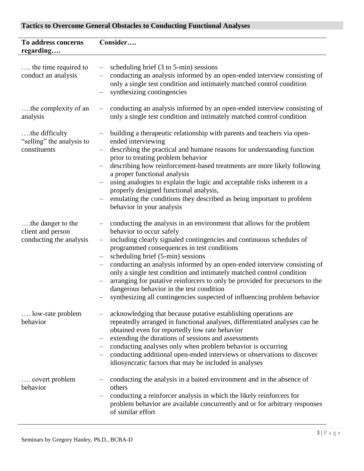## **Tactics to Overcome General Obstacles to Conducting Functional Analyses**

| To address concerns<br>regarding                                  | Consider                                                                                                                                                                                                                                                                                                                                                                                                                                                                                                                                                                                                                                       |
|-------------------------------------------------------------------|------------------------------------------------------------------------------------------------------------------------------------------------------------------------------------------------------------------------------------------------------------------------------------------------------------------------------------------------------------------------------------------------------------------------------------------------------------------------------------------------------------------------------------------------------------------------------------------------------------------------------------------------|
| the time required to<br>conduct an analysis                       | scheduling brief (3 to 5-min) sessions<br>$\qquad \qquad -$<br>conducting an analysis informed by an open-ended interview consisting of<br>only a single test condition and intimately matched control condition<br>synthesizing contingencies                                                                                                                                                                                                                                                                                                                                                                                                 |
| the complexity of an<br>analysis                                  | conducting an analysis informed by an open-ended interview consisting of<br>$\overline{\phantom{m}}$<br>only a single test condition and intimately matched control condition                                                                                                                                                                                                                                                                                                                                                                                                                                                                  |
| the difficulty<br>"selling" the analysis to<br>constituents       | building a therapeutic relationship with parents and teachers via open-<br>ended interviewing<br>describing the practical and humane reasons for understanding function<br>prior to treating problem behavior<br>describing how reinforcement-based treatments are more likely following<br>a proper functional analysis<br>using analogies to explain the logic and acceptable risks inherent in a<br>properly designed functional analysis,<br>emulating the conditions they described as being important to problem<br>behavior in your analysis                                                                                            |
| the danger to the<br>client and person<br>conducting the analysis | conducting the analysis in an environment that allows for the problem<br>behavior to occur safely<br>including clearly signaled contingencies and continuous schedules of<br>$\qquad \qquad -$<br>programmed consequences in test conditions<br>scheduling brief (5-min) sessions<br>conducting an analysis informed by an open-ended interview consisting of<br>only a single test condition and intimately matched control condition<br>arranging for putative reinforcers to only be provided for precursors to the<br>dangerous behavior in the test condition<br>synthesizing all contingencies suspected of influencing problem behavior |
| low-rate problem<br>behavior                                      | acknowledging that because putative establishing operations are<br>repeatedly arranged in functional analyses, differentiated analyses can be<br>obtained even for reportedly low rate behavior<br>extending the durations of sessions and assessments<br>conducting analyses only when problem behavior is occurring<br>conducting additional open-ended interviews or observations to discover<br>idiosyncratic factors that may be included in analyses                                                                                                                                                                                     |
| covert problem<br>behavior                                        | conducting the analysis in a baited environment and in the absence of<br>others<br>conducting a reinforcer analysis in which the likely reinforcers for<br>problem behavior are available concurrently and or for arbitrary responses<br>of similar effort                                                                                                                                                                                                                                                                                                                                                                                     |